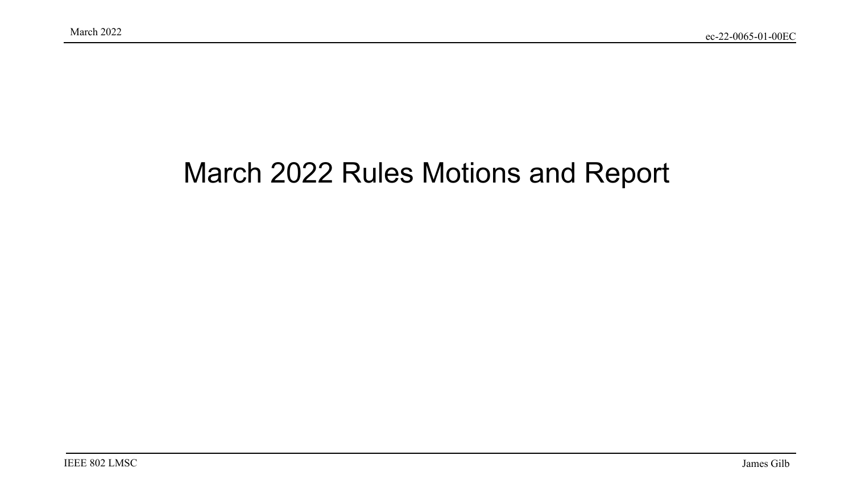#### March 2022 Rules Motions and Report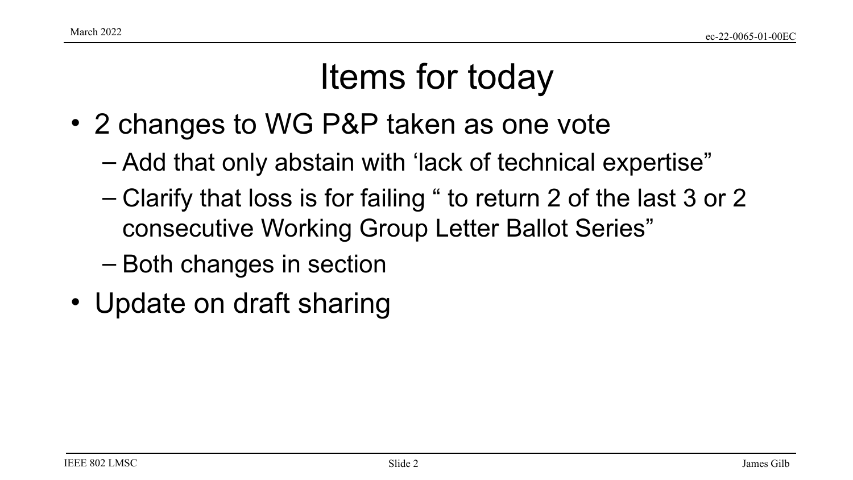## Items for today

- 2 changes to WG P&P taken as one vote
	- Add that only abstain with 'lack of technical expertise"
	- Clarify that loss is for failing " to return 2 of the last 3 or 2 consecutive Working Group Letter Ballot Series"
	- Both changes in section
- Update on draft sharing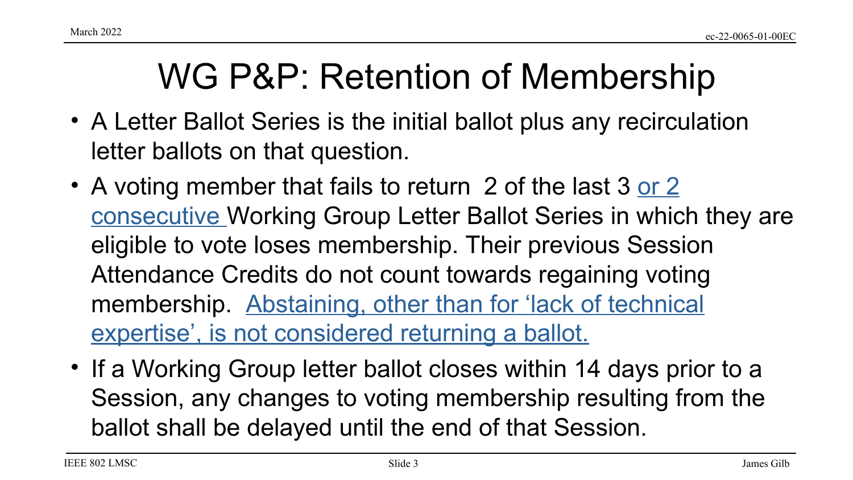## WG P&P: Retention of Membership

- A Letter Ballot Series is the initial ballot plus any recirculation letter ballots on that question.
- A voting member that fails to return 2 of the last 3 or 2 consecutive Working Group Letter Ballot Series in which they are eligible to vote loses membership. Their previous Session Attendance Credits do not count towards regaining voting membership. Abstaining, other than for 'lack of technical expertise', is not considered returning a ballot.
- If a Working Group letter ballot closes within 14 days prior to a Session, any changes to voting membership resulting from the ballot shall be delayed until the end of that Session.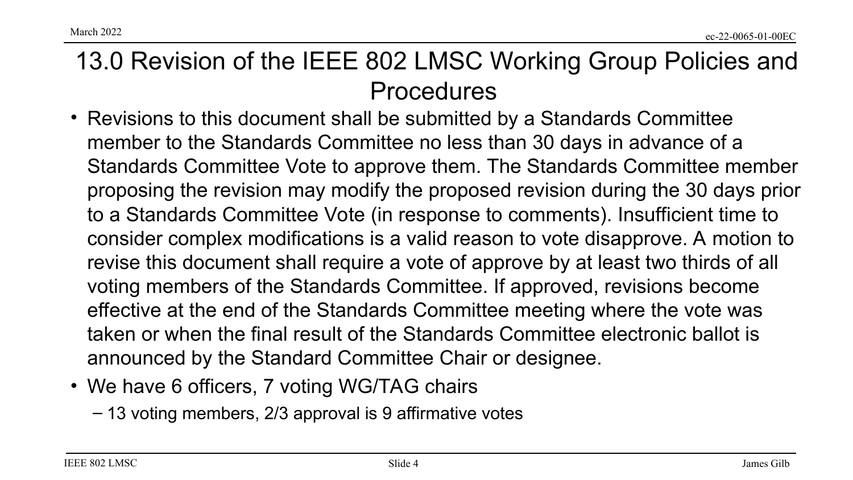IEEE 802 LMSC

13.0 Revision of the IEEE 802 LMSC Working Group Policies and Procedures

- Revisions to this document shall be submitted by a Standards Committee member to the Standards Committee no less than 30 days in advance of a Standards Committee Vote to approve them. The Standards Committee member proposing the revision may modify the proposed revision during the 30 days prior to a Standards Committee Vote (in response to comments). Insufficient time to consider complex modifications is a valid reason to vote disapprove. A motion to revise this document shall require a vote of approve by at least two thirds of all voting members of the Standards Committee. If approved, revisions become effective at the end of the Standards Committee meeting where the vote was taken or when the final result of the Standards Committee electronic ballot is announced by the Standard Committee Chair or designee.
- We have 6 officers, 7 voting WG/TAG chairs
	- 13 voting members, 2/3 approval is 9 affirmative votes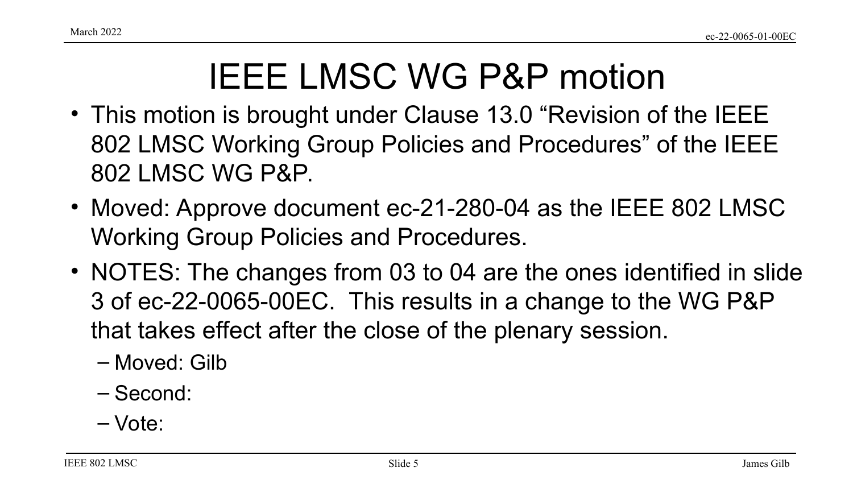## IEEE LMSC WG P&P motion

- This motion is brought under Clause 13.0 "Revision of the IEEE 802 LMSC Working Group Policies and Procedures" of the IEEE 802 LMSC WG P&P.
- Moved: Approve document ec-21-280-04 as the IEEE 802 LMSC Working Group Policies and Procedures.
- NOTES: The changes from 03 to 04 are the ones identified in slide 3 of ec-22-0065-00EC. This results in a change to the WG P&P that takes effect after the close of the plenary session.
	- Moved: Gilb
	- Second:
	- Vote: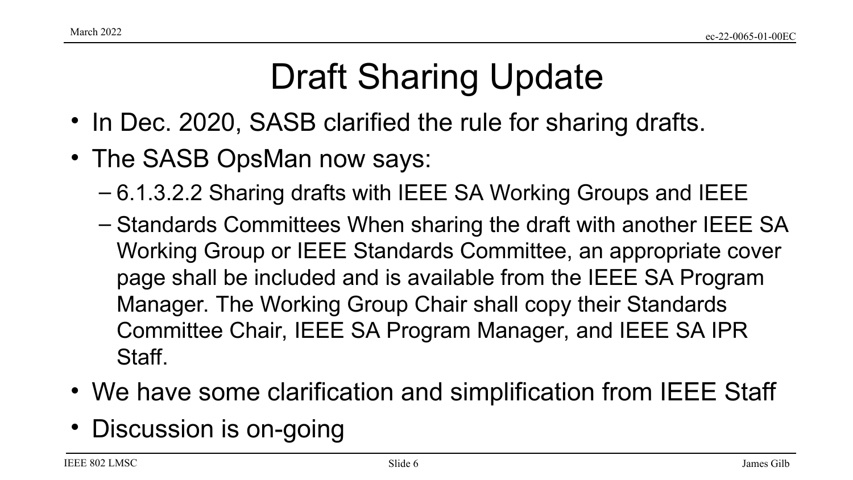# Draft Sharing Update

- In Dec. 2020, SASB clarified the rule for sharing drafts.
- The SASB OpsMan now says:
	- 6.1.3.2.2 Sharing drafts with IEEE SA Working Groups and IEEE
	- Standards Committees When sharing the draft with another IEEE SA Working Group or IEEE Standards Committee, an appropriate cover page shall be included and is available from the IEEE SA Program Manager. The Working Group Chair shall copy their Standards Committee Chair, IEEE SA Program Manager, and IEEE SA IPR Staff.
- We have some clarification and simplification from IEEE Staff
- Discussion is on-going